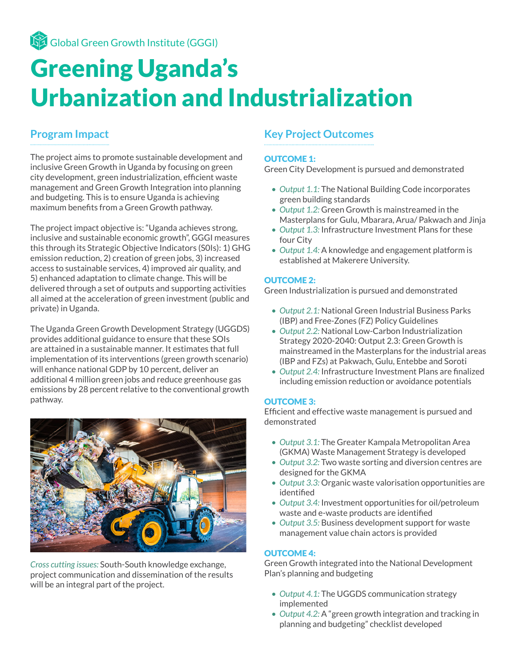# Greening Uganda's Urbanization and Industrialization

# **Program Impact**

The project aims to promote sustainable development and inclusive Green Growth in Uganda by focusing on green city development, green industrialization, efficient waste management and Green Growth Integration into planning and budgeting. This is to ensure Uganda is achieving maximum benefits from a Green Growth pathway.

The project impact objective is: "Uganda achieves strong, inclusive and sustainable economic growth", GGGI measures this through its Strategic Objective Indicators (S0Is): 1) GHG emission reduction, 2) creation of green jobs, 3) increased access to sustainable services, 4) improved air quality, and 5) enhanced adaptation to climate change. This will be delivered through a set of outputs and supporting activities all aimed at the acceleration of green investment (public and private) in Uganda.

The Uganda Green Growth Development Strategy (UGGDS) provides additional guidance to ensure that these SOIs are attained in a sustainable manner. It estimates that full implementation of its interventions (green growth scenario) will enhance national GDP by 10 percent, deliver an additional 4 million green jobs and reduce greenhouse gas emissions by 28 percent relative to the conventional growth pathway.



*Cross cutting issues:* South-South knowledge exchange, project communication and dissemination of the results will be an integral part of the project.

# **Key Project Outcomes**

#### OUTCOME 1:

Green City Development is pursued and demonstrated

- *• Output 1.1:* The National Building Code incorporates green building standards
- *• Output 1.2:* Green Growth is mainstreamed in the Masterplans for Gulu, Mbarara, Arua/ Pakwach and Jinja
- *• Output 1.3:* Infrastructure Investment Plans for these four City
- *• Output 1.4:* A knowledge and engagement platform is established at Makerere University.

#### OUTCOME 2:

Green Industrialization is pursued and demonstrated

- *• Output 2.1:* National Green Industrial Business Parks (IBP) and Free-Zones (FZ) Policy Guidelines
- *• Output 2.2:* National Low-Carbon Industrialization Strategy 2020-2040: Output 2.3: Green Growth is mainstreamed in the Masterplans for the industrial areas (IBP and FZs) at Pakwach, Gulu, Entebbe and Soroti
- *• Output 2.4:* Infrastructure Investment Plans are finalized including emission reduction or avoidance potentials

#### OUTCOME 3:

Efficient and effective waste management is pursued and demonstrated

- *• Output 3.1:* The Greater Kampala Metropolitan Area (GKMA) Waste Management Strategy is developed
- *• Output 3.2:* Two waste sorting and diversion centres are designed for the GKMA
- *• Output 3.3:* Organic waste valorisation opportunities are identified
- *• Output 3.4:* Investment opportunities for oil/petroleum waste and e-waste products are identified
- *• Output 3.5:* Business development support for waste management value chain actors is provided

#### OUTCOME 4:

Green Growth integrated into the National Development Plan's planning and budgeting

- *• Output 4.1:* The UGGDS communication strategy implemented
- *• Output 4.2:* A "green growth integration and tracking in planning and budgeting" checklist developed